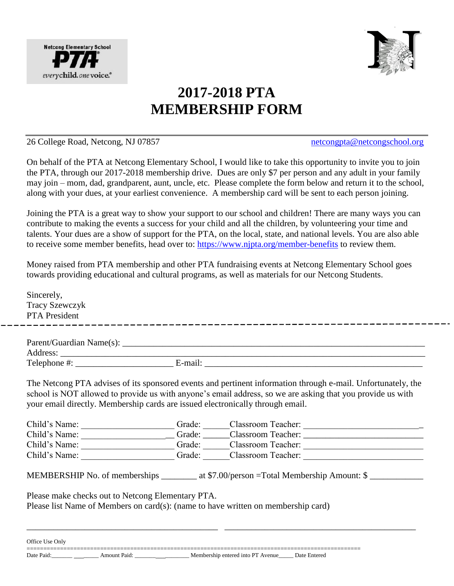



## **2017-2018 PTA MEMBERSHIP FORM**

## 26 College Road, Netcong, NJ 07857 netcongpta@netcongschool.org

On behalf of the PTA at Netcong Elementary School, I would like to take this opportunity to invite you to join the PTA, through our 2017-2018 membership drive. Dues are only \$7 per person and any adult in your family may join – mom, dad, grandparent, aunt, uncle, etc. Please complete the form below and return it to the school, along with your dues, at your earliest convenience. A membership card will be sent to each person joining.

Joining the PTA is a great way to show your support to our school and children! There are many ways you can contribute to making the events a success for your child and all the children, by volunteering your time and talents. Your dues are a show of support for the PTA, on the local, state, and national levels. You are also able to receive some member benefits, head over to:<https://www.njpta.org/member-benefits> to review them.

Money raised from PTA membership and other PTA fundraising events at Netcong Elementary School goes towards providing educational and cultural programs, as well as materials for our Netcong Students.

Sincerely, Tracy Szewczyk PTA President Parent/Guardian Name(s): \_\_\_\_\_\_\_\_\_\_\_\_\_\_\_\_\_\_\_\_\_\_\_\_\_\_\_\_\_\_\_\_\_\_\_\_\_\_\_\_\_\_\_\_\_\_\_\_\_\_\_\_\_\_\_\_\_\_\_\_\_\_\_\_\_\_\_\_ Address: \_\_\_\_\_\_\_\_\_\_\_\_\_\_\_\_\_\_\_\_\_\_\_\_\_\_\_\_\_\_\_\_\_\_\_\_\_\_\_\_\_\_\_\_\_\_\_\_\_\_\_\_\_\_\_\_\_\_\_\_\_\_\_\_\_\_\_\_\_\_\_\_\_\_\_\_\_\_\_\_\_\_ Telephone  $\#$ : E-mail:  $\qquad \qquad$  E-mail: The Netcong PTA advises of its sponsored events and pertinent information through e-mail. Unfortunately, the school is NOT allowed to provide us with anyone's email address, so we are asking that you provide us with your email directly. Membership cards are issued electronically through email. Child's Name: \_\_\_\_\_\_\_\_\_\_\_\_\_\_\_\_\_\_\_\_Grade: \_\_\_\_\_\_Classroom Teacher: \_\_\_\_\_\_\_\_\_\_\_\_\_\_\_ Child's Name: \_\_\_\_\_\_\_\_\_\_\_\_\_\_\_\_\_\_\_\_\_ Grade: \_\_\_\_\_\_Classroom Teacher: \_\_\_\_\_\_\_\_\_\_\_\_\_\_\_\_\_\_\_\_\_\_\_\_\_\_\_ Child's Name: \_\_\_\_\_\_\_\_\_\_\_\_\_\_\_\_\_\_\_\_\_ Grade: \_\_\_\_\_\_Classroom Teacher: \_\_\_\_\_\_\_\_\_\_\_\_\_\_\_\_\_\_\_\_\_\_\_\_\_\_\_ Child's Name: \_\_\_\_\_\_\_\_\_\_\_\_\_\_\_\_\_\_\_\_\_ Grade: \_\_\_\_\_\_Classroom Teacher: \_\_\_\_\_\_\_\_\_\_\_\_\_\_\_\_\_\_\_\_\_\_\_\_\_\_\_ MEMBERSHIP No. of memberships \_\_\_\_\_\_\_\_ at \$7.00/person =Total Membership Amount: \$ Please make checks out to Netcong Elementary PTA. Please list Name of Members on card(s): (name to have written on membership card)

\_\_\_\_\_\_\_\_\_\_\_\_\_\_\_\_\_\_\_\_\_\_\_\_\_\_\_\_\_\_\_\_\_\_\_\_\_\_\_\_\_\_\_ \_\_\_\_\_\_\_\_\_\_\_\_\_\_\_\_\_\_\_\_\_\_\_\_\_\_\_\_\_\_\_\_\_\_\_\_\_\_\_\_\_\_\_

Office Use Only